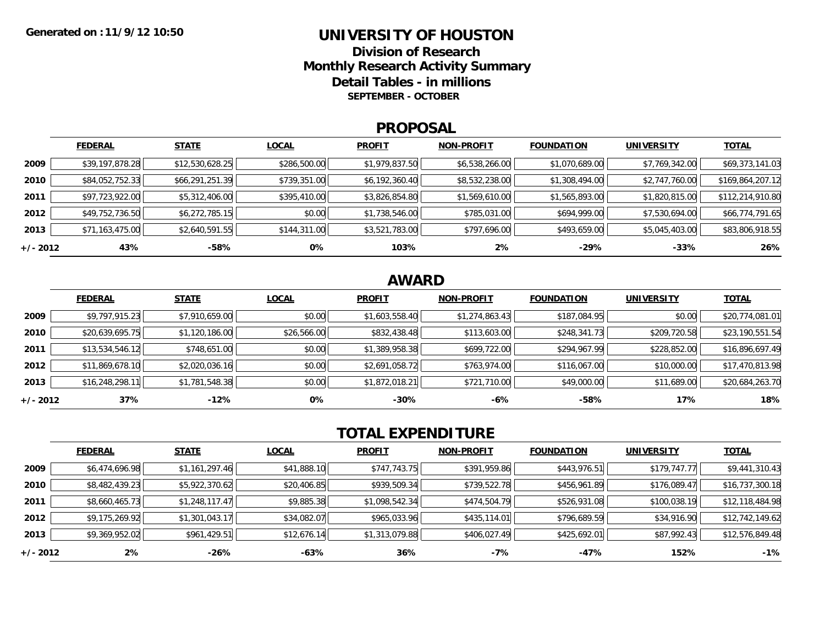### **UNIVERSITY OF HOUSTON**

**Division of ResearchMonthly Research Activity Summary Detail Tables - in millions SEPTEMBER - OCTOBER**

#### **PROPOSAL**

|            | <b>FEDERAL</b>  | <b>STATE</b>    | <b>LOCAL</b> | <b>PROFIT</b>  | <b>NON-PROFIT</b> | <b>FOUNDATION</b> | <b>UNIVERSITY</b> | <u>TOTAL</u>     |
|------------|-----------------|-----------------|--------------|----------------|-------------------|-------------------|-------------------|------------------|
| 2009       | \$39,197,878.28 | \$12,530,628.25 | \$286,500.00 | \$1,979,837.50 | \$6,538,266.00    | \$1,070,689.00    | \$7,769,342.00    | \$69,373,141.03  |
| 2010       | \$84,052,752.33 | \$66,291,251.39 | \$739,351.00 | \$6,192,360.40 | \$8,532,238.00    | \$1,308,494.00    | \$2,747,760.00    | \$169,864,207.12 |
| 2011       | \$97,723,922.00 | \$5,312,406.00  | \$395,410.00 | \$3,826,854.80 | \$1,569,610.00    | \$1,565,893.00    | \$1,820,815.00    | \$112,214,910.80 |
| 2012       | \$49,752,736.50 | \$6,272,785.15  | \$0.00       | \$1,738,546.00 | \$785,031.00      | \$694,999.00      | \$7,530,694.00    | \$66,774,791.65  |
| 2013       | \$71,163,475.00 | \$2,640,591.55  | \$144,311.00 | \$3,521,783.00 | \$797,696.00      | \$493,659.00      | \$5,045,403.00    | \$83,806,918.55  |
| $+/- 2012$ | 43%             | -58%            | 0%           | 103%           | 2%                | -29%              | $-33%$            | 26%              |

## **AWARD**

|            | <b>FEDERAL</b>  | <b>STATE</b>   | <b>LOCAL</b> | <b>PROFIT</b>  | <b>NON-PROFIT</b> | <b>FOUNDATION</b> | <b>UNIVERSITY</b> | <b>TOTAL</b>    |
|------------|-----------------|----------------|--------------|----------------|-------------------|-------------------|-------------------|-----------------|
| 2009       | \$9,797,915.23  | \$7,910,659.00 | \$0.00       | \$1,603,558.40 | \$1,274,863.43    | \$187,084.95      | \$0.00            | \$20,774,081.01 |
| 2010       | \$20,639,695.75 | \$1,120,186.00 | \$26,566.00  | \$832,438.48   | \$113,603.00      | \$248,341.73      | \$209,720.58      | \$23,190,551.54 |
| 2011       | \$13,534,546.12 | \$748,651.00   | \$0.00       | \$1,389,958.38 | \$699,722.00      | \$294,967.99      | \$228,852.00      | \$16,896,697.49 |
| 2012       | \$11,869,678.10 | \$2,020,036.16 | \$0.00       | \$2,691,058.72 | \$763,974.00      | \$116,067.00      | \$10,000.00       | \$17,470,813.98 |
| 2013       | \$16,248,298.11 | \$1,781,548.38 | \$0.00       | \$1,872,018.21 | \$721,710.00      | \$49,000.00       | \$11,689.00       | \$20,684,263.70 |
| $+/- 2012$ | 37%             | $-12%$         | 0%           | $-30%$         | -6%               | $-58%$            | 17%               | 18%             |

# **TOTAL EXPENDITURE**

|          | <b>FEDERAL</b> | <b>STATE</b>   | <b>LOCAL</b> | <b>PROFIT</b>  | <b>NON-PROFIT</b> | <b>FOUNDATION</b> | <b>UNIVERSITY</b> | <b>TOTAL</b>    |
|----------|----------------|----------------|--------------|----------------|-------------------|-------------------|-------------------|-----------------|
| 2009     | \$6,474,696.98 | \$1,161,297.46 | \$41,888.10  | \$747,743.75   | \$391,959.86      | \$443,976.51      | \$179,747.77      | \$9,441,310.43  |
| 2010     | \$8,482,439.23 | \$5,922,370.62 | \$20,406.85  | \$939,509.34   | \$739,522.78      | \$456,961.89      | \$176,089.47      | \$16,737,300.18 |
| 2011     | \$8,660,465.73 | \$1,248,117.47 | \$9,885.38   | \$1,098,542.34 | \$474,504.79      | \$526,931.08      | \$100,038.19      | \$12,118,484.98 |
| 2012     | \$9,175,269.92 | \$1,301,043.17 | \$34,082.07  | \$965,033.96   | \$435,114.01      | \$796,689.59      | \$34,916.90       | \$12,742,149.62 |
| 2013     | \$9,369,952.02 | \$961,429.51   | \$12,676.14  | \$1,313,079.88 | \$406,027.49      | \$425,692.01      | \$87,992.43       | \$12,576,849.48 |
| +/- 2012 | 2%             | -26%           | -63%         | 36%            | -7%               | $-47%$            | 152%              | $-1%$           |